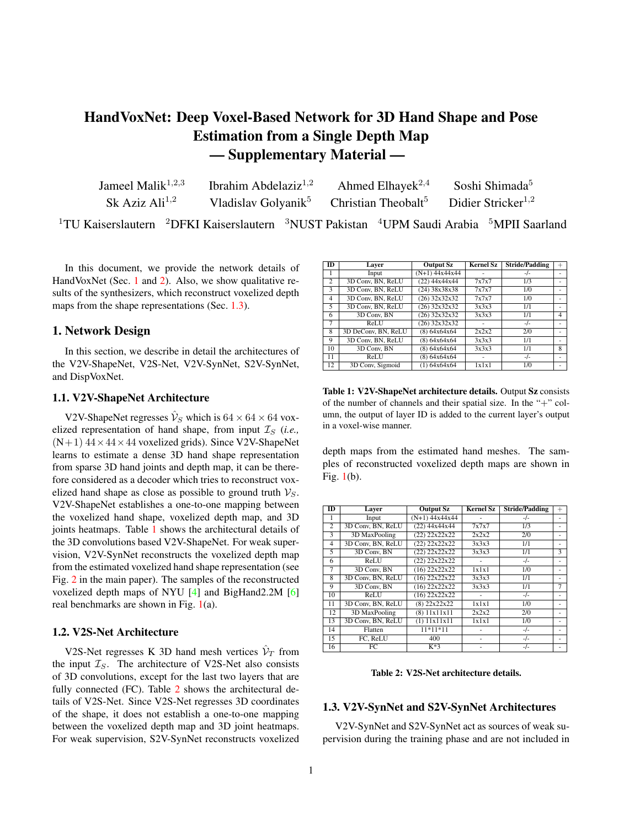# <span id="page-0-4"></span>HandVoxNet: Deep Voxel-Based Network for 3D Hand Shape and Pose Estimation from a Single Depth Map — Supplementary Material —

| Jameel Malik $1,2,3$       | Ibrahim Abdelaziz $1,2$ | Ahmed Elhayek <sup>2,4</sup>                                                                   | Soshi Shimada <sup>5</sup> |
|----------------------------|-------------------------|------------------------------------------------------------------------------------------------|----------------------------|
| Sk Aziz Ali <sup>1,2</sup> |                         | Vladislav Golyanik <sup>5</sup> Christian Theobalt <sup>5</sup> Didier Stricker <sup>1,2</sup> |                            |
|                            |                         |                                                                                                |                            |

 $1$ TU Kaiserslautern  $2$ DFKI Kaiserslautern  $3$ NUST Pakistan  $4$ UPM Saudi Arabia  $5$ MPII Saarland

In this document, we provide the network details of HandVoxNet (Sec. [1](#page-0-0) and [2\)](#page-1-0). Also, we show qualitative results of the synthesizers, which reconstruct voxelized depth maps from the shape representations (Sec. [1.3\)](#page-0-1).

# <span id="page-0-0"></span>1. Network Design

In this section, we describe in detail the architectures of the V2V-ShapeNet, V2S-Net, V2V-SynNet, S2V-SynNet, and DispVoxNet.

#### 1.1. V2V-ShapeNet Architecture

V2V-ShapeNet regresses  $\hat{V}_S$  which is  $64 \times 64 \times 64$  voxelized representation of hand shape, from input  $I_S$  (*i.e.*,  $(N+1)$  44 × 44 × 44 voxelized grids). Since V2V-ShapeNet learns to estimate a dense 3D hand shape representation from sparse 3D hand joints and depth map, it can be therefore considered as a decoder which tries to reconstruct voxelized hand shape as close as possible to ground truth  $V_S$ . V2V-ShapeNet establishes a one-to-one mapping between the voxelized hand shape, voxelized depth map, and 3D joints heatmaps. Table [1](#page-0-2) shows the architectural details of the 3D convolutions based V2V-ShapeNet. For weak supervision, V2V-SynNet reconstructs the voxelized depth map from the estimated voxelized hand shape representation (see Fig. 2 in the main paper). The samples of the reconstructed voxelized depth maps of NYU [\[4\]](#page-2-0) and BigHand2.2M [\[6\]](#page-3-0) real benchmarks are shown in Fig. [1\(](#page-1-1)a).

## 1.2. V2S-Net Architecture

V2S-Net regresses K 3D hand mesh vertices  $\hat{\mathcal{V}}_T$  from the input  $\mathcal{I}_S$ . The architecture of V2S-Net also consists of 3D convolutions, except for the last two layers that are fully connected (FC). Table [2](#page-0-3) shows the architectural details of V2S-Net. Since V2S-Net regresses 3D coordinates of the shape, it does not establish a one-to-one mapping between the voxelized depth map and 3D joint heatmaps. For weak supervision, S2V-SynNet reconstructs voxelized

<span id="page-0-2"></span>

| ID             |                     |                  | <b>Kernel Sz</b> |                       |                |
|----------------|---------------------|------------------|------------------|-----------------------|----------------|
|                | Laver               | <b>Output Sz</b> |                  | <b>Stride/Padding</b> |                |
|                | Input               | $(N+1)$ 44x44x44 |                  | $-/-$                 |                |
| $\overline{2}$ | 3D Conv. BN. ReLU   | $(22)$ 44x44x44  | 7x7x7            | 1/3                   |                |
| 3              | 3D Conv, BN, ReLU   | $(24)$ 38x38x38  | 7x7x7            | 1/0                   |                |
| $\overline{4}$ | 3D Conv, BN, ReLU   | $(26)$ 32x32x32  | 7x7x7            | 1/0                   |                |
| 5              | 3D Conv, BN, ReLU   | $(26)$ 32x32x32  | 3x3x3            | 1/1                   |                |
| 6              | 3D Conv, BN         | $(26)$ 32x32x32  | 3x3x3            | 1/1                   | $\overline{4}$ |
| $\overline{7}$ | ReLU                | $(26)$ 32x32x32  |                  | $-/-$                 |                |
| 8              | 3D DeConv. BN. ReLU | (8) 64x64x64     | 2x2x2            | 2/0                   |                |
| 9              | 3D Conv, BN, ReLU   | (8) 64x64x64     | 3x3x3            | 1/1                   |                |
| 10             | 3D Conv, BN         | (8) 64x64x64     | 3x3x3            | 1/1                   | 8              |
| 11             | ReLU                | (8) 64x64x64     |                  | $-/-$                 |                |
| 12             | 3D Conv, Sigmoid    | (1) 64x64x64     | 1x1x1            | 1/0                   |                |

Table 1: V2V-ShapeNet architecture details. Output Sz consists of the number of channels and their spatial size. In the "+" column, the output of layer ID is added to the current layer's output in a voxel-wise manner.

depth maps from the estimated hand meshes. The samples of reconstructed voxelized depth maps are shown in Fig. [1\(](#page-1-1)b).

<span id="page-0-3"></span>

| ID             | Laver             | <b>Output Sz</b>  | <b>Kernel Sz</b> | <b>Stride/Padding</b> | $^{+}$                   |
|----------------|-------------------|-------------------|------------------|-----------------------|--------------------------|
| 1              | Input             | $(N+1)$ 44x44x44  |                  | $-/-$                 | ٠                        |
| $\overline{c}$ | 3D Conv, BN, ReLU | $(22)$ 44x44x44   | 7x7x7            | 1/3                   |                          |
| 3              | 3D MaxPooling     | $(22)$ $22x22x22$ | 2x2x2            | 2/0                   | ٠                        |
| $\overline{4}$ | 3D Conv. BN. ReLU | $(22)$ $22x22x22$ | 3x3x3            | 1/1                   | ٠                        |
| 5              | 3D Conv. BN       | $(22)$ $22x22x22$ | 3x3x3            | 1/1                   | 3                        |
| 6              | ReLU              | $(22)$ $22x22x22$ |                  | $-/-$                 |                          |
| $\overline{7}$ | 3D Conv, BN       | $(16)$ 22x22x22   | 1x1x1            | 1/0                   | ٠                        |
| 8              | 3D Conv. BN. ReLU | $(16)$ 22x22x22   | 3x3x3            | 1/1                   | ٠                        |
| 9              | 3D Conv. BN       | $(16)$ 22x22x22   | 3x3x3            | 1/1                   | 7                        |
| 10             | ReLU              | $(16)$ 22x22x22   |                  | $-/-$                 |                          |
| 11             | 3D Conv. BN. ReLU | (8) 22x22x22      | 1x1x1            | 1/0                   |                          |
| 12             | 3D MaxPooling     | (8) 11x11x11      | 2x2x2            | 2/0                   | $\overline{\phantom{a}}$ |
| 13             | 3D Conv, BN, ReLU | (1) 11x11x11      | 1x1x1            | 1/0                   |                          |
| 14             | Flatten           | $11*11*11$        |                  | $-/-$                 | ٠                        |
| 15             | FC, ReLU          | 400               |                  | $-/-$                 |                          |
| 16             | FC                | $K*3$             |                  | $-/-$                 |                          |

Table 2: V2S-Net architecture details.

#### <span id="page-0-1"></span>1.3. V2V-SynNet and S2V-SynNet Architectures

V2V-SynNet and S2V-SynNet act as sources of weak supervision during the training phase and are not included in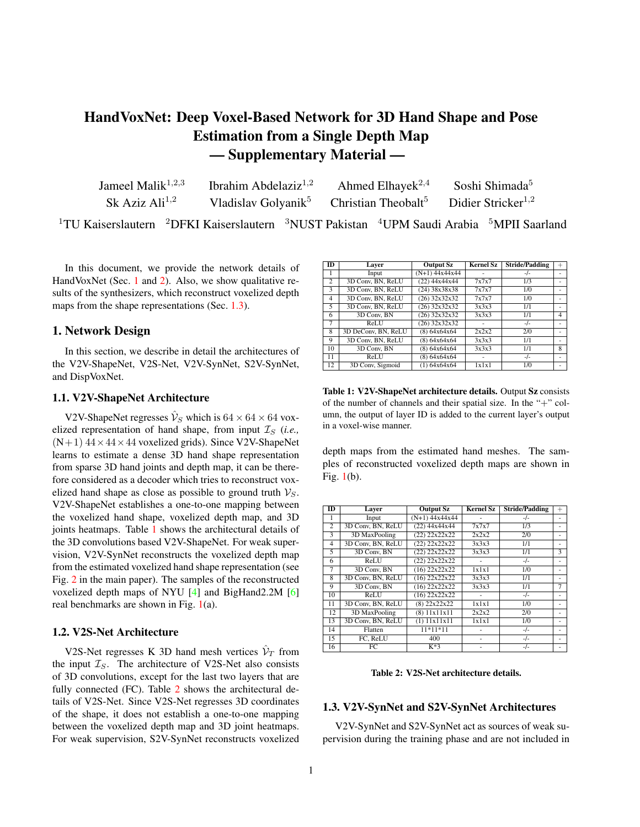<span id="page-1-6"></span><span id="page-1-1"></span>

Figure 1: Samples of synthesized voxelized depth maps of NYU [\[4\]](#page-2-0) and BigHand2.2M [\[6\]](#page-3-0) datasets from V2V-SynNet (a) and S2V-SynNet (b). The first and second rows show the ground truth and the reconstructions, respectively.

the testing phase. These synthesizers reconstruct voxelized depth maps  $\hat{V}_D$  from the hand shape representations. The details of the architectures of V2V-SynNet and S2V-SynNet are provided in Tables [3](#page-1-2) and [4,](#page-1-3) respectively.

<span id="page-1-2"></span>

| ID             | Laver               | Output Sz       | <b>Kernel Sz</b> | <b>Stride/Padding</b> | $^{+}$         |
|----------------|---------------------|-----------------|------------------|-----------------------|----------------|
| 1              | Input               | $(1)$ 64x64x64  |                  | $-/-$                 |                |
| $\overline{c}$ | 3D Conv. BN. ReLU   | (8) 64x64x64    | 7x7x7            | 1/3                   |                |
| 3              | 3D MaxPooling       | $(8)$ 32x32x32  | 2x2x2            | 2/0                   | ٠              |
| $\overline{4}$ | 3D Conv. BN         | $(16)$ 32x32x32 | 1x1x1            | 1/0                   |                |
| 5              | 3D Conv. BN. ReLU   | $(16)$ 32x32x32 | 3x3x3            | 1/1                   |                |
| 6              | 3D Conv. BN         | $(16)$ 32x32x32 | 3x3x3            | 1/1                   | $\overline{4}$ |
| $\overline{7}$ | ReLU                | $(16)$ 32x32x32 |                  | $-/-$                 | ٠              |
| 8              | 3D DeConv, BN, ReLU | $(12)$ 38x38x38 | 7x7x7            | 1/0                   | ٠              |
| 9              | 3D Conv, BN, ReLU   | $(12)$ 38x38x38 | 3x3x3            | 1/1                   |                |
| 10             | 3D Conv. BN         | $(12)$ 38x38x38 | 3x3x3            | 1/1                   | 8              |
| 11             | ReLU                | $(12)$ 38x38x38 |                  | $-/-$                 |                |
| 12             | 3D DeConv, BN, ReLU | $(8)$ 44x44x44  | 7x7x7            | 1/0                   | ٠              |
| 13             | 3D Conv, BN, ReLU   | $(8)$ 44x44x44  | 3x3x3            | 1/1                   |                |
| 14             | 3D Conv. BN         | $(8)$ 44x44x44  | 3x3x3            | 1/1                   | 12             |
| 15             | ReLU                | $(8)$ 44x44x44  |                  | $-/-$                 |                |
| 16             | 3D Conv. BN. ReLU   | $(8)$ 44x44x44  | 1x1x1            | 1/0                   |                |
| 17             | 3D Conv, BN, ReLU   | $(8)$ 44x44x44  | 1x1x1            | 1/0                   | ÷              |
| 18             | 3D Conv, Sigmoid    | $(1)$ 44x44x44  | 1x1x1            | 1/0                   |                |

Table 3: V2V-SynNet architecture details.

<span id="page-1-3"></span>

| ID             | Laver               | <b>Output Sz</b> | <b>Kernel Sz</b> | <b>Stride/Padding</b> | $^{+}$ |
|----------------|---------------------|------------------|------------------|-----------------------|--------|
|                | Input               | $K*3$            |                  | $-/-$                 |        |
| 2              | FC. ReLU            | 400              |                  | $-/-$                 |        |
| 3              | Reshape             | (400) 1x1x1      |                  | $-/-$                 |        |
| $\overline{4}$ | 3D DeConv, BN, ReLU | $(128)$ $3x3x3$  | 3x3x3            | 1/0                   |        |
| 5              | 3D DeConv. BN. ReLU | (64) 6x6x6       | 3x3x3            | 2/1                   |        |
| 6              | 3D DeConv, BN, ReLU | (32) 11x11x11    | 6x6x6            | 1/0                   |        |
| $\overline{7}$ | 3D DeConv. BN. ReLU | $(16)$ 22x22x22  | 3x3x3            | 2/1                   |        |
| 8              | 3D Conv, BN, ReLU   | $(8)$ 44x44x44   | 1x1x1            | 1/0                   |        |
| 9              | 3D Conv. BN. ReLU   | $(8)$ 44x44x44   | 1x1x1            | 1/0                   |        |
| 10             | 3D Conv, Sigmoid    | $(1)$ 44x44x44   | 1x1x1            | 1/0                   |        |

Table 4: S2V-SynNet architecture details.

#### 1.4. DispVoxNet Architecture

In contrast to the original DispVoxNets [\[3\]](#page-2-1) composed of the displacement estimation and refinement stages, we replace the refinement stage with Laplacian smoothing [\[5\]](#page-2-2).

<span id="page-1-4"></span>

| ID              | Layer         | <b>Output Sz</b> | <b>Kernel Sz</b> | <b>Stride/Padding</b> | $\oplus$       |
|-----------------|---------------|------------------|------------------|-----------------------|----------------|
| 1               | Input         | (2) 64x64x64     |                  | $-/-$                 | ٠              |
| $\overline{2}$  | 3D Conv       | (8) 64x64x64     | 7x7x7            | $\overline{1/3}$      | ٠              |
| 3               | LeakyReLU     | (8) 64x64x64     |                  | $-/-$                 | ٠              |
| 4               | 3D MaxPooling | $(8)$ 32x32x32   | 2x2x2            | 2/0                   |                |
| 5               | 3D Conv       | $(16)$ 32x32x32  | 5x5x5            | 1/2                   | ۰              |
| 6               | LeakyReLU     | $(16)$ 32x32x32  |                  | $\blacksquare$        | ٠              |
| 7               | 3D MaxPooling | $(16)$ 16x16x16  | 2x2x2            | 2/0                   | ٠              |
| 8               | 3D Conv       | $(32)$ 16x16x16  | 3x3x3            | 1/1                   | ٠              |
| $\overline{9}$  | LeakyReLU     | $(32)$ 16x16x16  |                  | $-/-$                 |                |
| 10              | 3D MaxPooling | (32) 8x8x8       | 2x2x2            | 2/0                   | ٠              |
| $\overline{11}$ | 3D Conv       | (64) 8x8x8       | 3x3x3            | 1/1                   |                |
| 12              | LeakyReLU     | (64) 8x8x8       |                  | $-/-$                 | ٠              |
| 13              | 3D Deconv     | $(64)$ 16x16x16  | 2x2x2            | 2/0                   | 10             |
| 14              | 3D Deconv     | $(64)$ 16x16x16  | 3x3x3            | 1/1                   | ٠              |
| 15              | LeakyReLU     | $(64)$ 16x16x16  |                  | $-/-$                 | ٠              |
| 16              | 3D Deconv     | $(32)$ 32x32x32  | 2x2x2            | 2/0                   | 7              |
| 17              | 3D Deconv     | (32) 32x 32x 32  | 5x5x5            | 1/2                   | ٠              |
| 18              | LeakyReLU     | $(32)$ 32x32x32  |                  | $-/-$                 | L.             |
| 19              | 3D Deconv     | (16) 64x64x64    | 2x2x2            | 2/0                   | $\overline{4}$ |
| 20              | 3D Deconv     | (16) 64x64x64    | 7x7x7            | 1/3                   | ٠              |
| 21              | LeakyReLU     | (16) 64x64x64    |                  | $-/-$                 | ۰              |
| 22              | 3D Deconv     | (3) 64x64x64     | 3x3x3            | 1/1                   | ٠              |

Table 5: DispVoxNet architecture details. The " " column marks layer ID whose outputs are concatenated and passed as input to the current layer. The negative slope for LeakyReLU is 0:01.

By doing so, we simplify the pipeline and avoid the training of another instance of DispVoxNet in the refinement stage. We follow the original network architecture of [\[3\]](#page-2-1), see Table [5.](#page-1-4) DispVoxNet accepts two voxel grids  $(\hat{V}_S$  and  $\hat{V}'_T$ )) and returns voxel displacements to register voxelized shapes. After applying the estimated displacements on the template, we apply Laplacian smoothing on it to reduce the shape roughness, and obtain the final hand shape. We train DispVoxNet in a supervised manner. However, the ground truth displacements are not available and obtaining them between the voxel and surface shapes is not straightforward. To circumvent this problem, we use the displacements between the shape surface and the corresponding ground truth shape in SynHand5M dataset. This is possible because the shape surface generated by V2S-Net preserves the topology and the number of mesh vertices during the training.

## <span id="page-1-0"></span>2. NRGA-Based Registration

We provide more details on the modification of the nearest neighbors rule mentioned in Sec. 4.1 (main matter). To highlight the role of this modification, we summarize the shape deformation and the optimization scheme of NRGA. Optimization Method. Given the estimated hand shape surface  $\hat{\mathcal{V}}_T$  and the voxelized shape  $\hat{\mathcal{V}}_S$ , NRGA defines the total gravitational potential energy (GPE) of the system as

<span id="page-1-5"></span>
$$
\mathbf{E}(\mathbf{R}/\mathbf{t}) = \sum_{k=1}^{K} \sum_{j \, 2 \, \hat{\mathcal{V}}_S} \frac{I_k}{\left(k \mathbf{R}_k \hat{V}_T^k + \mathbf{t}_k - \hat{V}_S^j k + \right)}.
$$
 (1)

which is the weighted sum of the inverse of the Euclidean distances between the mesh vertices  $\hat{V}_T$  =